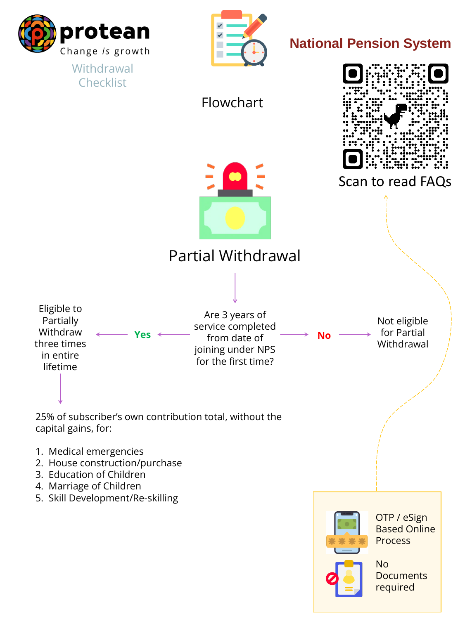

#### **Withdrawal Checklist**



## **National Pension System**





25% of subscriber's own contribution total, without the capital gains, for:

- 1. Medical emergencies
- 2. House construction/purchase
- 3. Education of Children
- 4. Marriage of Children
- 5. Skill Development/Re-skilling

Scan to read FAQs

Flowchart

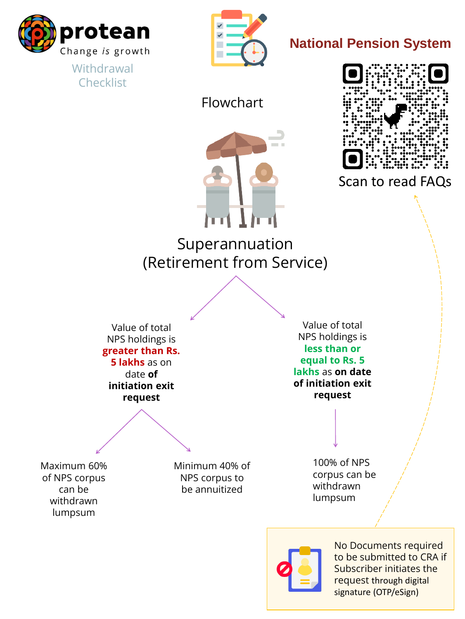

### **Withdrawal Checklist**



### **National Pension System**



Superannuation (Retirement from Service)

> Value of total NPS holdings is **less than or equal to Rs. 5 lakhs** as **on date of initiation exit request**

Value of total NPS holdings is **greater than Rs. 5 lakhs** as on date **of initiation exit request**

> 100% of NPS corpus can be withdrawn lumpsum



Minimum 40% of NPS corpus to be annuitized

Maximum 60% of NPS corpus can be withdrawn lumpsum

Scan to read FAQs

Flowchart



No Documents required to be submitted to CRA if Subscriber initiates the request through digital signature (OTP/eSign)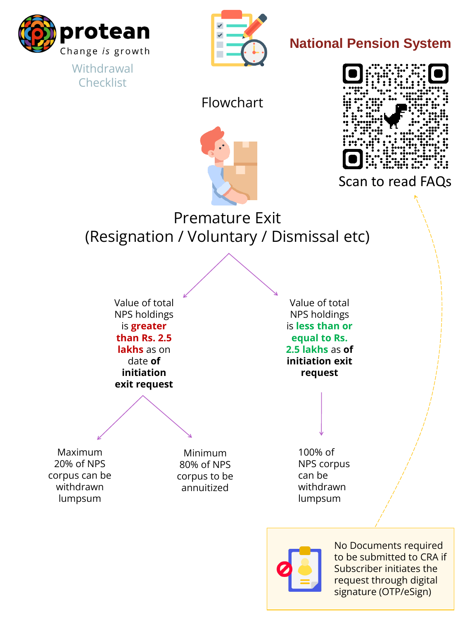

### **Withdrawal Checklist**



**National Pension System**



Value of total NPS holdings is **less than or equal to Rs. 2.5 lakhs** as **of initiation exit request**

Value of total NPS holdings is **greater than Rs. 2.5 lakhs** as on date **of initiation exit request**

> 100% of NPS corpus can be withdrawn lumpsum



Minimum 80% of NPS corpus to be annuitized

Maximum 20% of NPS corpus can be withdrawn lumpsum

Premature Exit (Resignation / Voluntary / Dismissal etc)

Scan to read FAQs

Flowchart



No Documents required to be submitted to CRA if Subscriber initiates the request through digital signature (OTP/eSign)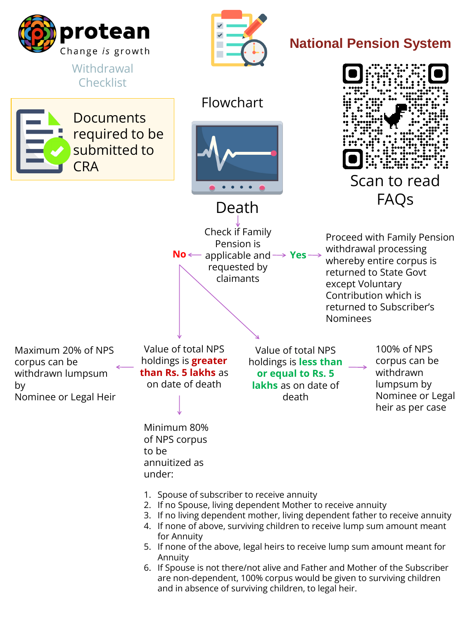

**CRA** 

**Withdrawal Checklist** 

**Documents** 

## **National Pension System**

Flowchart

Death

Value of total NPS holdings is **less than or equal to Rs. 5 lakhs** as on date of death

Value of total NPS holdings is **greater than Rs. 5 lakhs** as on date of death

100% of NPS corpus can be withdrawn lumpsum by Nominee or Legal heir as per case

Minimum 80%

of NPS corpus to be annuitized as under:

Maximum 20% of NPS corpus can be withdrawn lumpsum by Nominee or Legal Heir Check if Family

Pension is

**No** ← applicable and → Yes

requested by

claimants

Proceed with Family Pension withdrawal processing whereby entire corpus is returned to State Govt except Voluntary Contribution which is returned to Subscriber's Nominees

- 1. Spouse of subscriber to receive annuity
- 2. If no Spouse, living dependent Mother to receive annuity
- 3. If no living dependent mother, living dependent father to receive annuity
- 4. If none of above, surviving children to receive lump sum amount meant for Annuity
- 5. If none of the above, legal heirs to receive lump sum amount meant for Annuity
- 6. If Spouse is not there/not alive and Father and Mother of the Subscriber are non-dependent, 100% corpus would be given to surviving children and in absence of surviving children, to legal heir.



required to be

submitted to